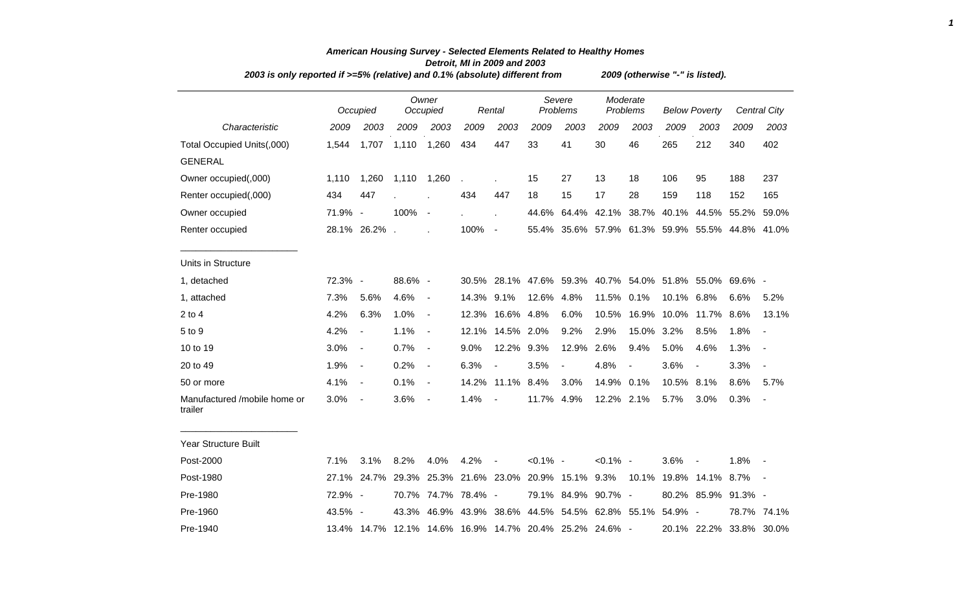| 2003 is only reported if >=5% (relative) and 0.1% (absolute) different from |         |                                     |         |                   |                     |                |                    |                                                         |                      | 2009 (otherwise "-" is listed). |                      |                         |              |                          |
|-----------------------------------------------------------------------------|---------|-------------------------------------|---------|-------------------|---------------------|----------------|--------------------|---------------------------------------------------------|----------------------|---------------------------------|----------------------|-------------------------|--------------|--------------------------|
|                                                                             |         | Occupied                            |         | Owner<br>Occupied |                     | Rental         | Severe<br>Problems |                                                         | Moderate<br>Problems |                                 | <b>Below Poverty</b> |                         | Central City |                          |
| Characteristic                                                              | 2009    | 2003                                | 2009    | 2003              | 2009                | 2003           | 2009               | 2003                                                    | 2009                 | 2003                            | 2009                 | 2003                    | 2009         | 2003                     |
| Total Occupied Units(,000)                                                  | 1,544   | 1,707                               | 1,110   | 1,260             | 434                 | 447            | 33                 | 41                                                      | 30                   | 46                              | 265                  | 212                     | 340          | 402                      |
| <b>GENERAL</b>                                                              |         |                                     |         |                   |                     |                |                    |                                                         |                      |                                 |                      |                         |              |                          |
| Owner occupied(,000)                                                        | 1,110   | 1,260                               | 1,110   | 1,260             |                     |                | 15                 | 27                                                      | 13                   | 18                              | 106                  | 95                      | 188          | 237                      |
| Renter occupied(,000)                                                       | 434     | 447                                 |         |                   | 434                 | 447            | 18                 | 15                                                      | 17                   | 28                              | 159                  | 118                     | 152          | 165                      |
| Owner occupied                                                              | 71.9% - |                                     | 100%    | $\blacksquare$    |                     |                |                    | 44.6% 64.4% 42.1% 38.7%                                 |                      |                                 |                      | 40.1% 44.5% 55.2% 59.0% |              |                          |
| Renter occupied                                                             |         | 28.1% 26.2% .                       |         |                   | 100%                | $\sim$         |                    | 55.4% 35.6% 57.9% 61.3% 59.9% 55.5% 44.8% 41.0%         |                      |                                 |                      |                         |              |                          |
| Units in Structure                                                          |         |                                     |         |                   |                     |                |                    |                                                         |                      |                                 |                      |                         |              |                          |
| 1, detached                                                                 | 72.3% - |                                     | 88.6% - |                   |                     |                |                    | 30.5% 28.1% 47.6% 59.3% 40.7% 54.0% 51.8% 55.0% 69.6% - |                      |                                 |                      |                         |              |                          |
| 1, attached                                                                 | 7.3%    | 5.6%                                | 4.6%    | $\blacksquare$    | 14.3% 9.1%          |                | 12.6%              | 4.8%                                                    | 11.5% 0.1%           |                                 | 10.1%                | 6.8%                    | 6.6%         | 5.2%                     |
| $2$ to $4$                                                                  | 4.2%    | 6.3%                                | 1.0%    | $\blacksquare$    | 12.3%               | 16.6% 4.8%     |                    | 6.0%                                                    | 10.5%                | 16.9%                           | 10.0%                | 11.7% 8.6%              |              | 13.1%                    |
| 5 to 9                                                                      | 4.2%    | $\overline{\phantom{a}}$            | 1.1%    | $\blacksquare$    | 12.1%               | 14.5% 2.0%     |                    | 9.2%                                                    | 2.9%                 | 15.0%                           | 3.2%                 | 8.5%                    | 1.8%         | $\overline{\phantom{a}}$ |
| 10 to 19                                                                    | 3.0%    | $\overline{\phantom{a}}$            | 0.7%    | $\blacksquare$    | 9.0%                | 12.2% 9.3%     |                    | 12.9%                                                   | 2.6%                 | 9.4%                            | 5.0%                 | 4.6%                    | 1.3%         | $\blacksquare$           |
| 20 to 49                                                                    | 1.9%    | $\blacksquare$                      | 0.2%    | $\blacksquare$    | 6.3%                | $\blacksquare$ | 3.5%               | $\overline{\phantom{a}}$                                | 4.8%                 | $\overline{\phantom{a}}$        | 3.6%                 | $\blacksquare$          | 3.3%         | $\blacksquare$           |
| 50 or more                                                                  | 4.1%    | $\overline{\phantom{a}}$            | 0.1%    | $\blacksquare$    | 14.2%               | 11.1% 8.4%     |                    | 3.0%                                                    | 14.9%                | 0.1%                            | 10.5%                | 8.1%                    | 8.6%         | 5.7%                     |
| Manufactured /mobile home or<br>trailer                                     | 3.0%    | $\blacksquare$                      | 3.6%    | $\blacksquare$    | 1.4%                | $\blacksquare$ | 11.7% 4.9%         |                                                         | 12.2% 2.1%           |                                 | 5.7%                 | 3.0%                    | 0.3%         | $\blacksquare$           |
| Year Structure Built                                                        |         |                                     |         |                   |                     |                |                    |                                                         |                      |                                 |                      |                         |              |                          |
| Post-2000                                                                   | 7.1%    | 3.1%                                | 8.2%    | 4.0%              | 4.2%                | $\blacksquare$ | $< 0.1\%$ -        |                                                         | $< 0.1\%$ -          |                                 | 3.6%                 | $\blacksquare$          | 1.8%         |                          |
| Post-1980                                                                   |         | 27.1% 24.7% 29.3% 25.3% 21.6% 23.0% |         |                   |                     |                |                    | 20.9% 15.1% 9.3%                                        |                      | 10.1%                           |                      | 19.8% 14.1% 8.7%        |              |                          |
| Pre-1980                                                                    | 72.9% - |                                     |         |                   | 70.7% 74.7% 78.4% - |                |                    | 79.1% 84.9% 90.7% -                                     |                      |                                 |                      | 80.2% 85.9% 91.3% -     |              |                          |
| Pre-1960                                                                    | 43.5% - |                                     | 43.3%   |                   | 46.9% 43.9% 38.6%   |                |                    | 44.5% 54.5% 62.8% 55.1%                                 |                      |                                 | 54.9%                | $\sim$                  |              | 78.7% 74.1%              |
| Pre-1940                                                                    |         |                                     |         |                   |                     |                |                    | 13.4% 14.7% 12.1% 14.6% 16.9% 14.7% 20.4% 25.2% 24.6% - |                      |                                 |                      | 20.1% 22.2% 33.8% 30.0% |              |                          |

## *American Housing Survey - Selected Elements Related to Healthy Homes Detroit, MI in 2009 and 2003*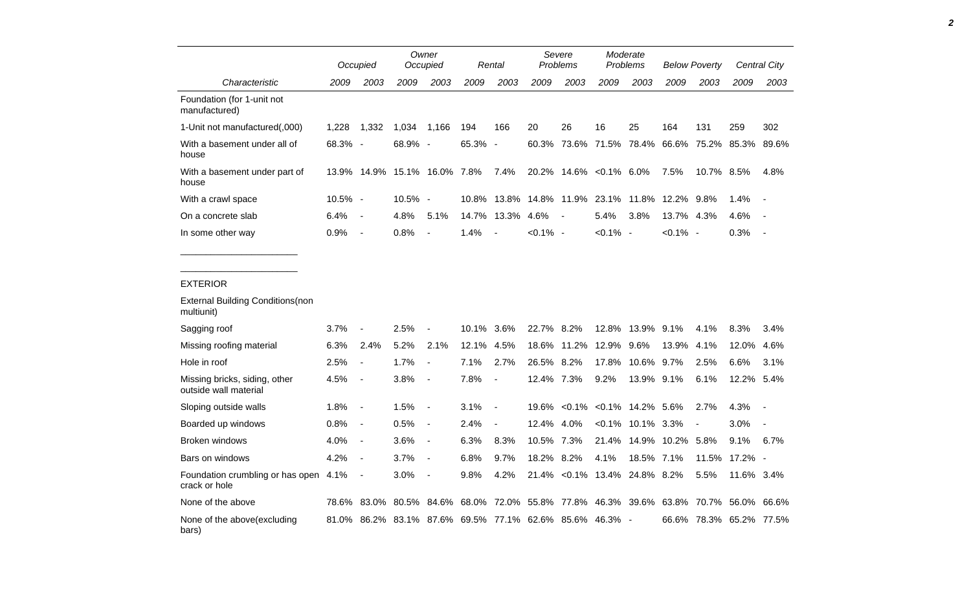|                                                        |            | Occupied                     |                                                         | Owner<br>Occupied        |       | Rental                   |             | Severe<br>Problems            | Moderate<br>Problems |                     | <b>Below Poverty</b> |            | <b>Central City</b> |                          |
|--------------------------------------------------------|------------|------------------------------|---------------------------------------------------------|--------------------------|-------|--------------------------|-------------|-------------------------------|----------------------|---------------------|----------------------|------------|---------------------|--------------------------|
| Characteristic                                         | 2009       | 2003                         | 2009                                                    | 2003                     | 2009  | 2003                     | 2009        | 2003                          | 2009                 | 2003                | 2009                 | 2003       | 2009                | 2003                     |
| Foundation (for 1-unit not<br>manufactured)            |            |                              |                                                         |                          |       |                          |             |                               |                      |                     |                      |            |                     |                          |
| 1-Unit not manufactured(,000)                          | 1,228      | 1,332                        | 1,034                                                   | 1,166                    | 194   | 166                      | 20          | 26                            | 16                   | 25                  | 164                  | 131        | 259                 | 302                      |
| With a basement under all of<br>house                  | 68.3%      | $\overline{\phantom{a}}$     | 68.9%                                                   | $\overline{\phantom{a}}$ | 65.3% | $\overline{\phantom{a}}$ |             | 60.3% 73.6% 71.5% 78.4% 66.6% |                      |                     |                      |            | 75.2% 85.3%         | 89.6%                    |
| With a basement under part of<br>house                 |            |                              | 13.9% 14.9% 15.1% 16.0% 7.8%                            |                          |       | 7.4%                     |             | 20.2% 14.6% < 0.1% 6.0%       |                      |                     | 7.5%                 | 10.7% 8.5% |                     | 4.8%                     |
| With a crawl space                                     | $10.5\%$ - |                              | 10.5% -                                                 |                          | 10.8% |                          |             | 13.8% 14.8% 11.9% 23.1% 11.8% |                      |                     | 12.2%                | 9.8%       | 1.4%                |                          |
| On a concrete slab                                     | 6.4%       | $\overline{\phantom{a}}$     | 4.8%                                                    | 5.1%                     | 14.7% | 13.3% 4.6%               |             | $\overline{\phantom{a}}$      | 5.4%                 | 3.8%                | 13.7% 4.3%           |            | 4.6%                |                          |
| In some other way                                      | 0.9%       | $\qquad \qquad \blacksquare$ | 0.8%                                                    | $\overline{a}$           | 1.4%  |                          | $< 0.1\%$ - |                               | $< 0.1\%$ -          |                     | $< 0.1\%$ -          |            | 0.3%                | $\overline{\phantom{a}}$ |
|                                                        |            |                              |                                                         |                          |       |                          |             |                               |                      |                     |                      |            |                     |                          |
| <b>EXTERIOR</b>                                        |            |                              |                                                         |                          |       |                          |             |                               |                      |                     |                      |            |                     |                          |
| <b>External Building Conditions (non</b><br>multiunit) |            |                              |                                                         |                          |       |                          |             |                               |                      |                     |                      |            |                     |                          |
| Sagging roof                                           | 3.7%       | $\overline{a}$               | 2.5%                                                    |                          | 10.1% | 3.6%                     | 22.7%       | 8.2%                          | 12.8%                | 13.9%               | 9.1%                 | 4.1%       | 8.3%                | 3.4%                     |
| Missing roofing material                               | 6.3%       | 2.4%                         | 5.2%                                                    | 2.1%                     | 12.1% | 4.5%                     | 18.6%       | 11.2%                         | 12.9%                | 9.6%                | 13.9%                | 4.1%       | 12.0%               | 4.6%                     |
| Hole in roof                                           | 2.5%       | $\blacksquare$               | 1.7%                                                    | $\overline{a}$           | 7.1%  | 2.7%                     | 26.5% 8.2%  |                               | 17.8%                | 10.6% 9.7%          |                      | 2.5%       | 6.6%                | 3.1%                     |
| Missing bricks, siding, other<br>outside wall material | 4.5%       | $\overline{\phantom{a}}$     | 3.8%                                                    | $\overline{\phantom{a}}$ | 7.8%  | $\overline{\phantom{a}}$ | 12.4% 7.3%  |                               | 9.2%                 | 13.9% 9.1%          |                      | 6.1%       | 12.2%               | 5.4%                     |
| Sloping outside walls                                  | 1.8%       | $\overline{\phantom{a}}$     | 1.5%                                                    | $\overline{\phantom{a}}$ | 3.1%  | $\overline{\phantom{a}}$ | 19.6%       | $< 0.1\%$                     |                      | $<0.1\%$ 14.2% 5.6% |                      | 2.7%       | 4.3%                | $\overline{\phantom{a}}$ |
| Boarded up windows                                     | 0.8%       | $\blacksquare$               | 0.5%                                                    | $\overline{\phantom{a}}$ | 2.4%  |                          | 12.4% 4.0%  |                               |                      | $<0.1\%$ 10.1% 3.3% |                      |            | 3.0%                |                          |
| <b>Broken windows</b>                                  | 4.0%       | $\blacksquare$               | 3.6%                                                    | $\overline{\phantom{a}}$ | 6.3%  | 8.3%                     | 10.5% 7.3%  |                               | 21.4%                | 14.9%               | 10.2%                | 5.8%       | 9.1%                | 6.7%                     |
| Bars on windows                                        | 4.2%       | $\overline{\phantom{a}}$     | 3.7%                                                    | $\overline{\phantom{a}}$ | 6.8%  | 9.7%                     | 18.2%       | 8.2%                          | 4.1%                 | 18.5% 7.1%          |                      | 11.5%      | 17.2%               | $\overline{\phantom{a}}$ |
| Foundation crumbling or has open 4.1%<br>crack or hole |            | $\overline{\phantom{a}}$     | 3.0%                                                    | $\blacksquare$           | 9.8%  | 4.2%                     |             | 21.4% < 0.1% 13.4% 24.8% 8.2% |                      |                     |                      | 5.5%       | 11.6% 3.4%          |                          |
| None of the above                                      |            | 78.6% 83.0%                  | 80.5%                                                   | 84.6%                    | 68.0% |                          |             | 72.0% 55.8% 77.8%             |                      | 46.3% 39.6% 63.8%   |                      |            | 70.7% 56.0%         | 66.6%                    |
| None of the above (excluding<br>bars)                  |            |                              | 81.0% 86.2% 83.1% 87.6% 69.5% 77.1% 62.6% 85.6% 46.3% - |                          |       |                          |             |                               |                      |                     | 66.6%                |            | 78.3% 65.2%         | 77.5%                    |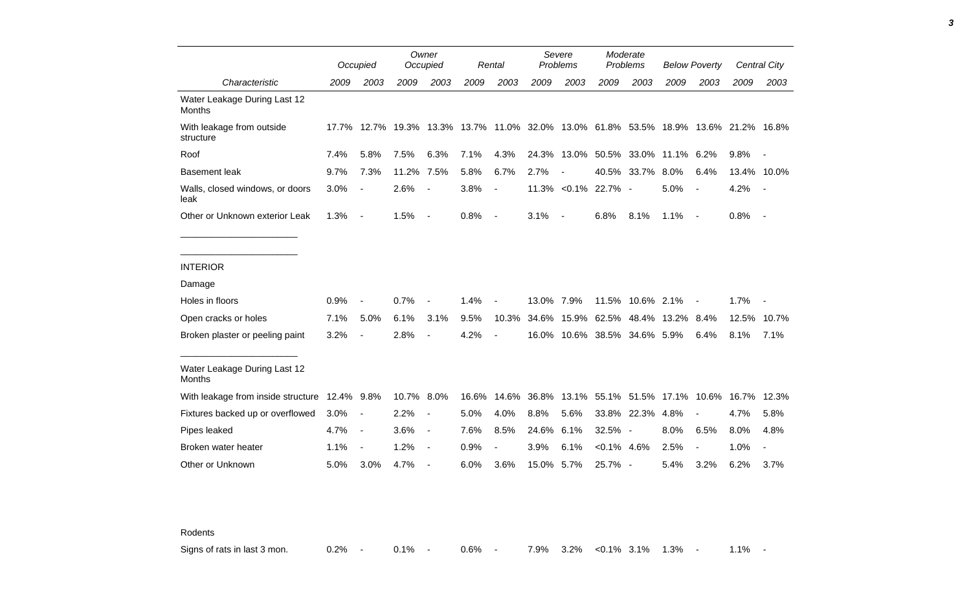|                                               |      | Occupied                 |                   | Owner<br>Occupied        |       | Rental                   | Severe<br>Problems |                                                                   | Moderate<br>Problems |             | <b>Below Poverty</b>          |                | Central City |                          |
|-----------------------------------------------|------|--------------------------|-------------------|--------------------------|-------|--------------------------|--------------------|-------------------------------------------------------------------|----------------------|-------------|-------------------------------|----------------|--------------|--------------------------|
| Characteristic                                | 2009 | 2003                     | 2009              | 2003                     | 2009  | 2003                     | 2009               | 2003                                                              | 2009                 | 2003        | 2009                          | 2003           | 2009         | 2003                     |
| Water Leakage During Last 12<br>Months        |      |                          |                   |                          |       |                          |                    |                                                                   |                      |             |                               |                |              |                          |
| With leakage from outside<br>structure        |      |                          | 17.7% 12.7% 19.3% |                          |       |                          |                    | 13.3% 13.7% 11.0% 32.0% 13.0% 61.8% 53.5% 18.9% 13.6% 21.2% 16.8% |                      |             |                               |                |              |                          |
| Roof                                          | 7.4% | 5.8%                     | 7.5%              | 6.3%                     | 7.1%  | 4.3%                     | 24.3%              | 13.0%                                                             |                      | 50.5% 33.0% | 11.1% 6.2%                    |                | 9.8%         |                          |
| <b>Basement leak</b>                          | 9.7% | 7.3%                     | 11.2%             | 7.5%                     | 5.8%  | 6.7%                     | 2.7%               | $\overline{\phantom{a}}$                                          | 40.5%                | 33.7%       | $8.0\%$                       | 6.4%           |              | 13.4% 10.0%              |
| Walls, closed windows, or doors<br>leak       | 3.0% | $\blacksquare$           | 2.6%              | $\overline{\phantom{a}}$ | 3.8%  | $\blacksquare$           |                    | 11.3% < 0.1% 22.7% -                                              |                      |             | 5.0%                          | $\blacksquare$ | 4.2%         | $\overline{\phantom{a}}$ |
| Other or Unknown exterior Leak                | 1.3% | $\blacksquare$           | 1.5%              | $\overline{\phantom{a}}$ | 0.8%  | $\overline{\phantom{a}}$ | 3.1%               | $\sim$                                                            | 6.8%                 | 8.1%        | 1.1%                          | $\blacksquare$ | 0.8%         | $\overline{\phantom{a}}$ |
|                                               |      |                          |                   |                          |       |                          |                    |                                                                   |                      |             |                               |                |              |                          |
|                                               |      |                          |                   |                          |       |                          |                    |                                                                   |                      |             |                               |                |              |                          |
| <b>INTERIOR</b>                               |      |                          |                   |                          |       |                          |                    |                                                                   |                      |             |                               |                |              |                          |
| Damage                                        |      |                          |                   |                          |       |                          |                    |                                                                   |                      |             |                               |                |              |                          |
| Holes in floors                               | 0.9% |                          | 0.7%              |                          | 1.4%  |                          | 13.0% 7.9%         |                                                                   | 11.5%                | 10.6% 2.1%  |                               |                | 1.7%         |                          |
| Open cracks or holes                          | 7.1% | 5.0%                     | 6.1%              | 3.1%                     | 9.5%  | 10.3%                    | 34.6%              | 15.9%                                                             | 62.5%                | 48.4%       | 13.2%                         | 8.4%           | 12.5%        | 10.7%                    |
| Broken plaster or peeling paint               | 3.2% |                          | 2.8%              |                          | 4.2%  |                          |                    | 16.0% 10.6% 38.5% 34.6% 5.9%                                      |                      |             |                               | 6.4%           | 8.1%         | 7.1%                     |
|                                               |      |                          |                   |                          |       |                          |                    |                                                                   |                      |             |                               |                |              |                          |
| Water Leakage During Last 12<br><b>Months</b> |      |                          |                   |                          |       |                          |                    |                                                                   |                      |             |                               |                |              |                          |
| With leakage from inside structure 12.4% 9.8% |      |                          | 10.7%             | 8.0%                     | 16.6% | 14.6%                    | 36.8%              |                                                                   |                      |             | 13.1% 55.1% 51.5% 17.1% 10.6% |                | 16.7%        | 12.3%                    |
| Fixtures backed up or overflowed              | 3.0% | $\blacksquare$           | 2.2%              | $\overline{\phantom{a}}$ | 5.0%  | 4.0%                     | 8.8%               | 5.6%                                                              | 33.8%                | 22.3%       | 4.8%                          |                | 4.7%         | 5.8%                     |
| Pipes leaked                                  | 4.7% | $\overline{\phantom{a}}$ | 3.6%              | $\overline{\phantom{a}}$ | 7.6%  | 8.5%                     | 24.6%              | 6.1%                                                              | 32.5% -              |             | 8.0%                          | 6.5%           | 8.0%         | 4.8%                     |
| Broken water heater                           | 1.1% | $\overline{\phantom{a}}$ | 1.2%              | $\overline{\phantom{a}}$ | 0.9%  | $\overline{\phantom{a}}$ | 3.9%               | 6.1%                                                              | $<0.1\%$ 4.6%        |             | 2.5%                          |                | 1.0%         | $\overline{\phantom{a}}$ |
| Other or Unknown                              | 5.0% | 3.0%                     | 4.7%              |                          | 6.0%  | 3.6%                     | 15.0% 5.7%         |                                                                   | 25.7% -              |             | 5.4%                          | 3.2%           | 6.2%         | 3.7%                     |

Rodents

Signs of rats in last 3 mon.  $0.2\%$  - 0.1% - 0.6% - 7.9% 3.2% <0.1% 3.1% 1.3% - 1.1% -

*3*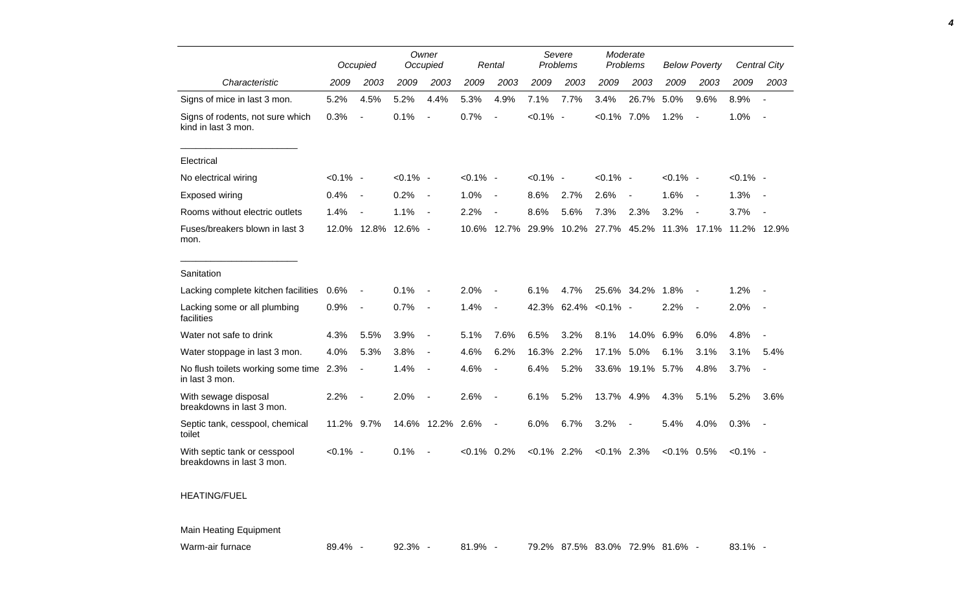|                                                           |             | Owner<br>Occupied<br>Occupied |                     |                          |             | Rental                   |             | Severe<br>Problems | Moderate<br>Problems |                          | <b>Below Poverty</b> |                          |             | Central City   |
|-----------------------------------------------------------|-------------|-------------------------------|---------------------|--------------------------|-------------|--------------------------|-------------|--------------------|----------------------|--------------------------|----------------------|--------------------------|-------------|----------------|
| Characteristic                                            | 2009        | 2003                          | 2009                | 2003                     | 2009        | 2003                     | 2009        | 2003               | 2009                 | 2003                     | 2009                 | 2003                     | 2009        | 2003           |
| Signs of mice in last 3 mon.                              | 5.2%        | 4.5%                          | 5.2%                | 4.4%                     | 5.3%        | 4.9%                     | 7.1%        | 7.7%               | 3.4%                 | 26.7%                    | 5.0%                 | 9.6%                     | 8.9%        |                |
| Signs of rodents, not sure which<br>kind in last 3 mon.   | 0.3%        | $\overline{\phantom{a}}$      | 0.1%                | $\overline{\phantom{a}}$ | 0.7%        | $\overline{\phantom{a}}$ | $< 0.1\%$   | $\sim$             | $< 0.1\%$ 7.0%       |                          | 1.2%                 | $\overline{\phantom{a}}$ | 1.0%        | $\sim$         |
| Electrical                                                |             |                               |                     |                          |             |                          |             |                    |                      |                          |                      |                          |             |                |
| No electrical wiring                                      | $< 0.1\%$ - |                               | $< 0.1\%$ -         |                          | $< 0.1\%$ - |                          | $< 0.1\%$ - |                    | $< 0.1\%$ -          |                          | $< 0.1\%$ -          |                          | $< 0.1\%$ - |                |
| Exposed wiring                                            | 0.4%        | $\overline{\phantom{a}}$      | 0.2%                | $\overline{a}$           | 1.0%        | $\blacksquare$           | 8.6%        | 2.7%               | 2.6%                 | $\overline{\phantom{a}}$ | 1.6%                 | $\sim$                   | 1.3%        |                |
| Rooms without electric outlets                            | 1.4%        | $\blacksquare$                | 1.1%                | $\overline{\phantom{a}}$ | 2.2%        | $\overline{\phantom{a}}$ | 8.6%        | 5.6%               | 7.3%                 | 2.3%                     | 3.2%                 | $\blacksquare$           | 3.7%        | $\blacksquare$ |
| Fuses/breakers blown in last 3<br>mon.                    |             |                               | 12.0% 12.8% 12.6% - |                          | 10.6%       | 12.7%                    | 29.9%       | 10.2%              | 27.7%                | 45.2%                    |                      | 11.3% 17.1%              |             | 11.2% 12.9%    |
| Sanitation                                                |             |                               |                     |                          |             |                          |             |                    |                      |                          |                      |                          |             |                |
| Lacking complete kitchen facilities                       | 0.6%        | $\blacksquare$                | 0.1%                |                          | 2.0%        | $\overline{a}$           | 6.1%        | 4.7%               |                      | 25.6% 34.2%              | 1.8%                 |                          | 1.2%        |                |
| Lacking some or all plumbing<br>facilities                | 0.9%        | $\overline{\phantom{a}}$      | 0.7%                | $\overline{\phantom{a}}$ | 1.4%        | $\blacksquare$           | 42.3%       | 62.4%              | $< 0.1\%$ -          |                          | 2.2%                 |                          | 2.0%        |                |
| Water not safe to drink                                   | 4.3%        | 5.5%                          | 3.9%                | $\overline{\phantom{a}}$ | 5.1%        | 7.6%                     | 6.5%        | 3.2%               | 8.1%                 | 14.0%                    | 6.9%                 | 6.0%                     | 4.8%        |                |
| Water stoppage in last 3 mon.                             | 4.0%        | 5.3%                          | 3.8%                | $\overline{\phantom{a}}$ | 4.6%        | 6.2%                     | 16.3%       | 2.2%               | 17.1%                | 5.0%                     | 6.1%                 | 3.1%                     | 3.1%        | 5.4%           |
| No flush toilets working some time 2.3%<br>in last 3 mon. |             | $\overline{\phantom{a}}$      | 1.4%                | $\overline{\phantom{a}}$ | 4.6%        | $\blacksquare$           | 6.4%        | 5.2%               |                      | 33.6% 19.1%              | 5.7%                 | 4.8%                     | 3.7%        |                |
| With sewage disposal<br>breakdowns in last 3 mon.         | 2.2%        | $\sim$                        | 2.0%                | $\overline{\phantom{a}}$ | 2.6%        | $\blacksquare$           | 6.1%        | 5.2%               | 13.7% 4.9%           |                          | 4.3%                 | 5.1%                     | 5.2%        | 3.6%           |
| Septic tank, cesspool, chemical<br>toilet                 | 11.2% 9.7%  |                               |                     | 14.6% 12.2%              | 2.6%        | $\blacksquare$           | 6.0%        | 6.7%               | 3.2%                 | $\overline{\phantom{a}}$ | 5.4%                 | 4.0%                     | 0.3%        | $\sim$         |
| With septic tank or cesspool<br>breakdowns in last 3 mon. | $< 0.1\%$ - |                               | 0.1%                |                          | $< 0.1\%$   | 0.2%                     | $< 0.1\%$   | 2.2%               | $< 0.1\%$ 2.3%       |                          | $< 0.1\%$ 0.5%       |                          | $< 0.1\%$ - |                |
|                                                           |             |                               |                     |                          |             |                          |             |                    |                      |                          |                      |                          |             |                |

## HEATING/FUEL

Main Heating Equipment

Warm-air furnace a a a 89.4% - 92.3% - 81.9% - 79.2% 87.5% 83.0% 72.9% 81.6% - 83.1% -

*4*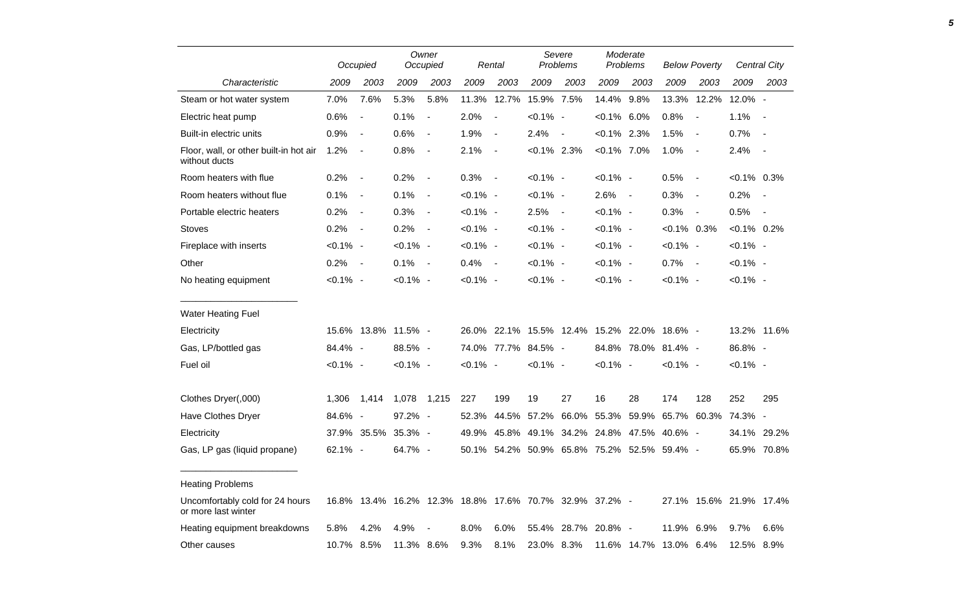|                                                         |             | Occupied                 |                     | Owner<br>Occupied        |             | Rental                   | Severe<br>Problems |                                                         | Moderate<br><b>Problems</b> |             | <b>Below Poverty</b> |                          |                         | Central City             |
|---------------------------------------------------------|-------------|--------------------------|---------------------|--------------------------|-------------|--------------------------|--------------------|---------------------------------------------------------|-----------------------------|-------------|----------------------|--------------------------|-------------------------|--------------------------|
| Characteristic                                          | 2009        | 2003                     | 2009                | 2003                     | 2009        | 2003                     | 2009               | 2003                                                    | 2009                        | 2003        | 2009                 | 2003                     | 2009                    | 2003                     |
| Steam or hot water system                               | 7.0%        | 7.6%                     | 5.3%                | 5.8%                     | 11.3%       | 12.7%                    | 15.9% 7.5%         |                                                         | 14.4%                       | 9.8%        | 13.3%                | 12.2%                    | 12.0% -                 |                          |
| Electric heat pump                                      | 0.6%        | $\overline{\phantom{a}}$ | 0.1%                | $\blacksquare$           | 2.0%        | $\blacksquare$           | $< 0.1\%$ -        |                                                         | $< 0.1\%$ 6.0%              |             | 0.8%                 | $\blacksquare$           | 1.1%                    | $\overline{\phantom{a}}$ |
| Built-in electric units                                 | 0.9%        | $\blacksquare$           | 0.6%                | $\blacksquare$           | 1.9%        | $\overline{\phantom{a}}$ | 2.4%               | $\blacksquare$                                          | $<0.1\%$ 2.3%               |             | 1.5%                 | $\blacksquare$           | 0.7%                    | $\overline{\phantom{a}}$ |
| Floor, wall, or other built-in hot air<br>without ducts | 1.2%        | $\blacksquare$           | 0.8%                | $\overline{\phantom{a}}$ | 2.1%        | $\blacksquare$           | $< 0.1\%$ 2.3%     |                                                         | $< 0.1\%$ 7.0%              |             | 1.0%                 | $\overline{\phantom{a}}$ | 2.4%                    | $\overline{\phantom{a}}$ |
| Room heaters with flue                                  | 0.2%        | $\blacksquare$           | 0.2%                | $\blacksquare$           | 0.3%        | $\sim$                   | $< 0.1\%$ -        |                                                         | $< 0.1\%$ -                 |             | 0.5%                 | $\blacksquare$           | $<0.1\%$ 0.3%           |                          |
| Room heaters without flue                               | 0.1%        | $\overline{\phantom{a}}$ | 0.1%                | $\overline{\phantom{a}}$ | $< 0.1\%$ - |                          | $< 0.1\%$ -        |                                                         | 2.6%                        | $\sim$      | 0.3%                 | $\overline{\phantom{a}}$ | 0.2%                    |                          |
| Portable electric heaters                               | 0.2%        | $\blacksquare$           | 0.3%                | $\overline{\phantom{a}}$ | $< 0.1\%$ - |                          | 2.5%               | $\sim$                                                  | $< 0.1\%$ -                 |             | 0.3%                 | $\overline{\phantom{a}}$ | 0.5%                    | $\overline{\phantom{a}}$ |
| <b>Stoves</b>                                           | 0.2%        | $\overline{\phantom{a}}$ | 0.2%                | $\overline{\phantom{a}}$ | $< 0.1\%$ - |                          | $< 0.1\%$ -        |                                                         | $< 0.1\%$ -                 |             | $<0.1\%$ 0.3%        |                          | $< 0.1\%$ 0.2%          |                          |
| Fireplace with inserts                                  | $< 0.1\%$ - |                          | $< 0.1\%$ -         |                          | $< 0.1\%$ - |                          | $< 0.1\%$ -        |                                                         | $< 0.1\%$ -                 |             | $< 0.1\%$ -          |                          | $< 0.1\%$ -             |                          |
| Other                                                   | 0.2%        | $\overline{\phantom{a}}$ | 0.1%                | $\overline{\phantom{a}}$ | 0.4%        | $\sim$                   | $< 0.1\%$ -        |                                                         | $< 0.1\%$ -                 |             | 0.7%                 | $\sim$                   | $< 0.1\%$ -             |                          |
| No heating equipment                                    | $< 0.1\%$ - |                          | $< 0.1\%$ -         |                          | $< 0.1\%$ - |                          | $< 0.1\%$ -        |                                                         | $< 0.1\%$ -                 |             | $< 0.1\%$ -          |                          | $< 0.1\%$ -             |                          |
| <b>Water Heating Fuel</b>                               |             |                          |                     |                          |             |                          |                    |                                                         |                             |             |                      |                          |                         |                          |
| Electricity                                             |             |                          | 15.6% 13.8% 11.5% - |                          | 26.0%       |                          |                    | 22.1% 15.5% 12.4% 15.2% 22.0% 18.6% -                   |                             |             |                      |                          |                         | 13.2% 11.6%              |
| Gas, LP/bottled gas                                     | 84.4% -     |                          | $88.5\%$ -          |                          |             | 74.0% 77.7% 84.5% -      |                    |                                                         |                             |             | 84.8% 78.0% 81.4% -  |                          | 86.8% -                 |                          |
| Fuel oil                                                | $< 0.1\%$ - |                          | $< 0.1\%$ -         |                          | $< 0.1\%$ - |                          | $< 0.1\%$ -        |                                                         | $< 0.1\%$ -                 |             | $< 0.1\%$ -          |                          | $< 0.1\%$ -             |                          |
| Clothes Dryer(,000)                                     | 1,306       | 1,414                    | 1,078               | 1,215                    | 227         | 199                      | 19                 | 27                                                      | 16                          | 28          | 174                  | 128                      | 252                     | 295                      |
| Have Clothes Dryer                                      | 84.6% -     |                          | 97.2% -             |                          | 52.3%       | 44.5%                    | 57.2%              | 66.0%                                                   | 55.3%                       | 59.9%       | 65.7%                | 60.3%                    | 74.3% -                 |                          |
| Electricity                                             |             | 37.9% 35.5%              | 35.3% -             |                          | 49.9%       |                          |                    | 45.8% 49.1% 34.2% 24.8% 47.5%                           |                             |             | 40.6% -              |                          |                         | 34.1% 29.2%              |
| Gas, LP gas (liquid propane)                            | 62.1% -     |                          | 64.7% -             |                          | 50.1%       |                          |                    | 54.2% 50.9% 65.8% 75.2% 52.5% 59.4% -                   |                             |             |                      |                          |                         | 65.9% 70.8%              |
| <b>Heating Problems</b>                                 |             |                          |                     |                          |             |                          |                    |                                                         |                             |             |                      |                          |                         |                          |
| Uncomfortably cold for 24 hours<br>or more last winter  |             |                          |                     |                          |             |                          |                    | 16.8% 13.4% 16.2% 12.3% 18.8% 17.6% 70.7% 32.9% 37.2% - |                             |             |                      |                          | 27.1% 15.6% 21.9% 17.4% |                          |
| Heating equipment breakdowns                            | 5.8%        | 4.2%                     | 4.9%                |                          | 8.0%        | 6.0%                     |                    | 55.4% 28.7%                                             | $20.8\%$ -                  |             | 11.9%                | 6.9%                     | 9.7%                    | 6.6%                     |
| Other causes                                            | 10.7% 8.5%  |                          | 11.3%               | 8.6%                     | 9.3%        | 8.1%                     | 23.0% 8.3%         |                                                         |                             | 11.6% 14.7% | 13.0% 6.4%           |                          | 12.5%                   | 8.9%                     |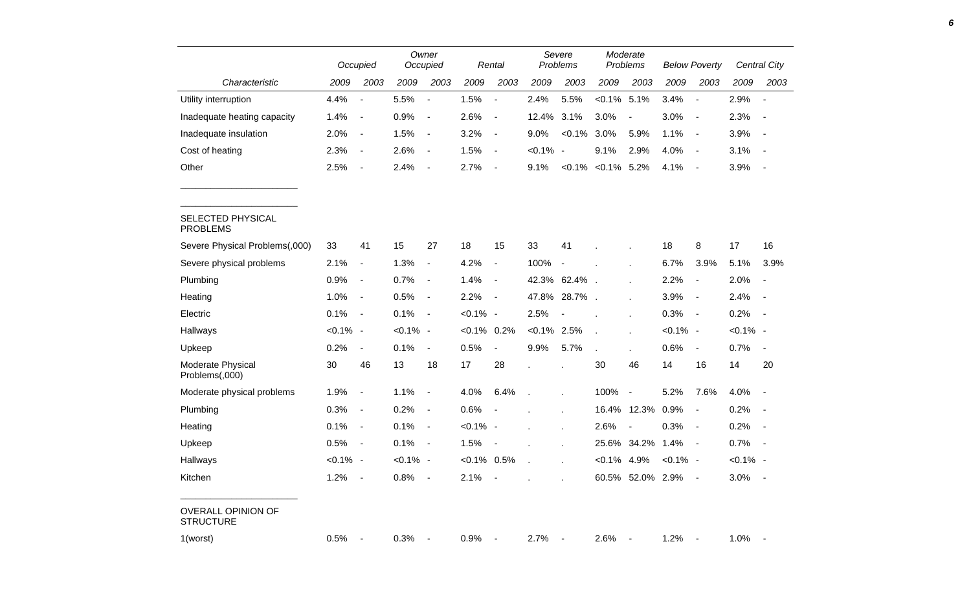|                                               |             | Occupied                     |             | Owner<br>Occupied        |                | Rental                   |                | Severe<br>Problems       |                          | Moderate<br>Problems     |             | <b>Below Poverty</b>     |             | Central City             |
|-----------------------------------------------|-------------|------------------------------|-------------|--------------------------|----------------|--------------------------|----------------|--------------------------|--------------------------|--------------------------|-------------|--------------------------|-------------|--------------------------|
| Characteristic                                | 2009        | 2003                         | 2009        | 2003                     | 2009           | 2003                     | 2009           | 2003                     | 2009                     | 2003                     | 2009        | 2003                     | 2009        | 2003                     |
| Utility interruption                          | 4.4%        | $\overline{\phantom{a}}$     | 5.5%        | $\overline{\phantom{a}}$ | 1.5%           | $\blacksquare$           | 2.4%           | 5.5%                     | $< 0.1\%$ 5.1%           |                          | 3.4%        | $\overline{\phantom{a}}$ | 2.9%        | $\overline{\phantom{a}}$ |
| Inadequate heating capacity                   | 1.4%        | $\blacksquare$               | 0.9%        | $\blacksquare$           | 2.6%           | $\blacksquare$           | 12.4%          | 3.1%                     | 3.0%                     | $\blacksquare$           | 3.0%        | $\blacksquare$           | 2.3%        | $\overline{\phantom{a}}$ |
| Inadequate insulation                         | 2.0%        | $\blacksquare$               | 1.5%        | $\blacksquare$           | 3.2%           | $\blacksquare$           | 9.0%           | $< 0.1\%$                | 3.0%                     | 5.9%                     | 1.1%        | $\blacksquare$           | 3.9%        | $\overline{\phantom{a}}$ |
| Cost of heating                               | 2.3%        | $\blacksquare$               | 2.6%        | $\blacksquare$           | 1.5%           | $\blacksquare$           | $< 0.1\%$ -    |                          | 9.1%                     | 2.9%                     | 4.0%        | $\sim$                   | 3.1%        | $\overline{\phantom{a}}$ |
| Other                                         | 2.5%        | $\blacksquare$               | 2.4%        | $\blacksquare$           | 2.7%           | $\blacksquare$           | 9.1%           |                          | $< 0.1\%$ $< 0.1\%$ 5.2% |                          | 4.1%        | $\sim$                   | 3.9%        | $\overline{\phantom{a}}$ |
| SELECTED PHYSICAL<br><b>PROBLEMS</b>          |             |                              |             |                          |                |                          |                |                          |                          |                          |             |                          |             |                          |
| Severe Physical Problems(,000)                | 33          | 41                           | 15          | 27                       | 18             | 15                       | 33             | 41                       |                          |                          | 18          | 8                        | 17          | 16                       |
| Severe physical problems                      | 2.1%        | $\overline{\phantom{a}}$     | 1.3%        | $\overline{\phantom{a}}$ | 4.2%           | $\blacksquare$           | 100%           | $\blacksquare$           |                          |                          | 6.7%        | 3.9%                     | 5.1%        | 3.9%                     |
| Plumbing                                      | 0.9%        | $\qquad \qquad \blacksquare$ | 0.7%        | $\blacksquare$           | 1.4%           | $\blacksquare$           |                | 42.3% 62.4%              |                          |                          | 2.2%        | $\overline{\phantom{a}}$ | 2.0%        | $\overline{\phantom{a}}$ |
| Heating                                       | 1.0%        | $\blacksquare$               | 0.5%        | $\blacksquare$           | 2.2%           | $\blacksquare$           |                | 47.8% 28.7%              | $\mathbf{r}$             | ÷.                       | 3.9%        | $\overline{\phantom{a}}$ | 2.4%        | $\overline{\phantom{a}}$ |
| Electric                                      | 0.1%        | $\blacksquare$               | 0.1%        | $\overline{\phantom{a}}$ | $< 0.1\%$ -    |                          | 2.5%           | $\overline{\phantom{a}}$ |                          |                          | 0.3%        | $\sim$                   | 0.2%        | $\overline{\phantom{a}}$ |
| Hallways                                      | $< 0.1\%$ - |                              | $< 0.1\%$ - |                          | $< 0.1\%$      | 0.2%                     | $< 0.1\%$ 2.5% |                          | $\sim$                   |                          | $< 0.1\%$ - |                          | $< 0.1\%$ - |                          |
| Upkeep                                        | 0.2%        | $\blacksquare$               | 0.1%        | $\blacksquare$           | 0.5%           | $\overline{\phantom{a}}$ | 9.9%           | 5.7%                     | ÷.                       |                          | 0.6%        | $\overline{\phantom{a}}$ | 0.7%        | $\blacksquare$           |
| Moderate Physical<br>Problems(,000)           | 30          | 46                           | 13          | 18                       | 17             | 28                       |                |                          | 30                       | 46                       | 14          | 16                       | 14          | 20                       |
| Moderate physical problems                    | 1.9%        | $\blacksquare$               | 1.1%        | $\blacksquare$           | 4.0%           | 6.4%                     |                |                          | 100%                     | $\overline{\phantom{a}}$ | 5.2%        | 7.6%                     | 4.0%        | $\blacksquare$           |
| Plumbing                                      | 0.3%        | $\blacksquare$               | 0.2%        | $\blacksquare$           | 0.6%           | $\overline{\phantom{a}}$ |                | $\epsilon$               |                          | 16.4% 12.3%              | 0.9%        | $\blacksquare$           | 0.2%        | $\overline{\phantom{a}}$ |
| Heating                                       | 0.1%        | $\blacksquare$               | 0.1%        | $\blacksquare$           | $< 0.1\%$ -    |                          |                |                          | 2.6%                     | $\blacksquare$           | 0.3%        | $\sim$                   | 0.2%        | $\overline{\phantom{a}}$ |
| Upkeep                                        | 0.5%        | $\blacksquare$               | 0.1%        | $\blacksquare$           | 1.5%           |                          |                |                          |                          | 25.6% 34.2%              | 1.4%        | $\sim$                   | 0.7%        | $\sim$                   |
| Hallways                                      | $< 0.1\%$ - |                              | $< 0.1\%$ - |                          | $< 0.1\%$ 0.5% |                          |                |                          | $< 0.1\%$ 4.9%           |                          | $< 0.1\%$ - |                          | $< 0.1\%$ - |                          |
| Kitchen                                       | 1.2%        | $\blacksquare$               | $0.8\%$     | $\sim$                   | 2.1%           | $\sim$                   |                |                          |                          | 60.5% 52.0% 2.9%         |             | $\sim$ $-$               | $3.0\%$ -   |                          |
| <b>OVERALL OPINION OF</b><br><b>STRUCTURE</b> |             |                              |             |                          |                |                          |                |                          |                          |                          |             |                          |             |                          |
| 1(worst)                                      | 0.5%        | $\blacksquare$               | 0.3%        |                          | 0.9%           |                          | 2.7%           | $\sim$ $-$               | 2.6%                     |                          | 1.2%        |                          | $1.0\%$ -   |                          |